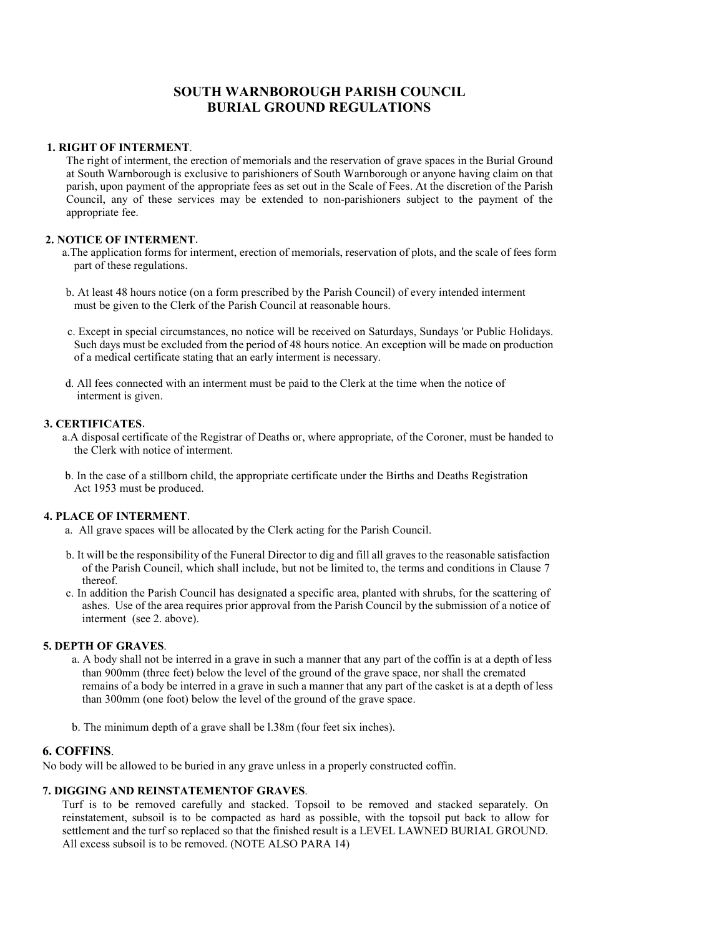# SOUTH WARNBOROUGH PARISH COUNCIL BURIAL GROUND REGULATIONS

### 1. RIGHT OF INTERMENT.

The right of interment, the erection of memorials and the reservation of grave spaces in the Burial Ground at South Warnborough is exclusive to parishioners of South Warnborough or anyone having claim on that parish, upon payment of the appropriate fees as set out in the Scale of Fees. At the discretion of the Parish Council, any of these services may be extended to non-parishioners subject to the payment of the appropriate fee.

# 2. NOTICE OF INTERMENT.

- a.The application forms for interment, erection of memorials, reservation of plots, and the scale of fees form part of these regulations.
- b. At least 48 hours notice (on a form prescribed by the Parish Council) of every intended interment must be given to the Clerk of the Parish Council at reasonable hours.
- c. Except in special circumstances, no notice will be received on Saturdays, Sundays 'or Public Holidays. Such days must be excluded from the period of 48 hours notice. An exception will be made on production of a medical certificate stating that an early interment is necessary.
- d. All fees connected with an interment must be paid to the Clerk at the time when the notice of interment is given.

# 3. CERTIFICATES.

- a.A disposal certificate of the Registrar of Deaths or, where appropriate, of the Coroner, must be handed to the Clerk with notice of interment.
- b. In the case of a stillborn child, the appropriate certificate under the Births and Deaths Registration Act 1953 must be produced.

# 4. PLACE OF INTERMENT.

- a. All grave spaces will be allocated by the Clerk acting for the Parish Council.
- b. It will be the responsibility of the Funeral Director to dig and fill all graves to the reasonable satisfaction of the Parish Council, which shall include, but not be limited to, the terms and conditions in Clause 7 thereof.
- c. In addition the Parish Council has designated a specific area, planted with shrubs, for the scattering of ashes. Use of the area requires prior approval from the Parish Council by the submission of a notice of interment (see 2. above).

# 5. DEPTH OF GRAVES.

- a. A body shall not be interred in a grave in such a manner that any part of the coffin is at a depth of less than 900mm (three feet) below the level of the ground of the grave space, nor shall the cremated remains of a body be interred in a grave in such a manner that any part of the casket is at a depth of less than 300mm (one foot) below the level of the ground of the grave space.
- b. The minimum depth of a grave shall be l.38m (four feet six inches).

# 6. COFFINS.

No body will be allowed to be buried in any grave unless in a properly constructed coffin.

# 7. DIGGING AND REINSTATEMENTOF GRAVES.

Turf is to be removed carefully and stacked. Topsoil to be removed and stacked separately. On reinstatement, subsoil is to be compacted as hard as possible, with the topsoil put back to allow for settlement and the turf so replaced so that the finished result is a LEVEL LAWNED BURIAL GROUND. All excess subsoil is to be removed. (NOTE ALSO PARA 14)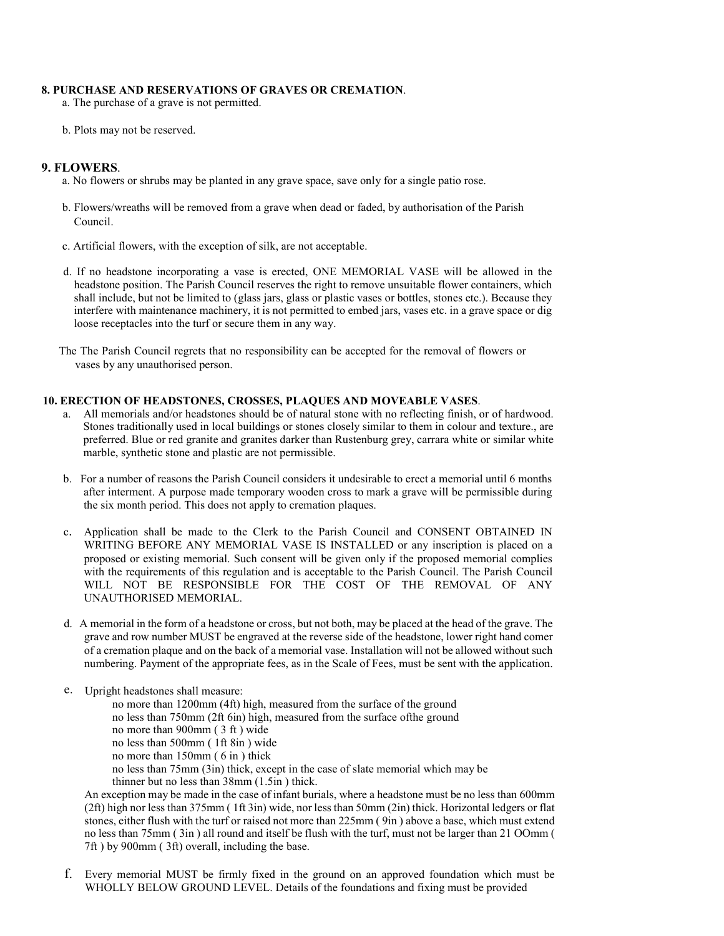#### 8. PURCHASE AND RESERVATIONS OF GRAVES OR CREMATION.

a. The purchase of a grave is not permitted.

b. Plots may not be reserved.

### 9. FLOWERS.

a. No flowers or shrubs may be planted in any grave space, save only for a single patio rose.

- b. Flowers/wreaths will be removed from a grave when dead or faded, by authorisation of the Parish Council.
- c. Artificial flowers, with the exception of silk, are not acceptable.
- d. If no headstone incorporating a vase is erected, ONE MEMORIAL VASE will be allowed in the headstone position. The Parish Council reserves the right to remove unsuitable flower containers, which shall include, but not be limited to (glass jars, glass or plastic vases or bottles, stones etc.). Because they interfere with maintenance machinery, it is not permitted to embed jars, vases etc. in a grave space or dig loose receptacles into the turf or secure them in any way.

The The Parish Council regrets that no responsibility can be accepted for the removal of flowers or vases by any unauthorised person.

# 10. ERECTION OF HEADSTONES, CROSSES, PLAQUES AND MOVEABLE VASES.

- a. All memorials and/or headstones should be of natural stone with no reflecting finish, or of hardwood. Stones traditionally used in local buildings or stones closely similar to them in colour and texture., are preferred. Blue or red granite and granites darker than Rustenburg grey, carrara white or similar white marble, synthetic stone and plastic are not permissible.
- b. For a number of reasons the Parish Council considers it undesirable to erect a memorial until 6 months after interment. A purpose made temporary wooden cross to mark a grave will be permissible during the six month period. This does not apply to cremation plaques.
- c. Application shall be made to the Clerk to the Parish Council and CONSENT OBTAINED IN WRITING BEFORE ANY MEMORIAL VASE IS INSTALLED or any inscription is placed on a proposed or existing memorial. Such consent will be given only if the proposed memorial complies with the requirements of this regulation and is acceptable to the Parish Council. The Parish Council WILL NOT BE RESPONSIBLE FOR THE COST OF THE REMOVAL OF ANY UNAUTHORISED MEMORIAL.
- d. A memorial in the form of a headstone or cross, but not both, may be placed at the head of the grave. The grave and row number MUST be engraved at the reverse side of the headstone, lower right hand comer of a cremation plaque and on the back of a memorial vase. Installation will not be allowed without such numbering. Payment of the appropriate fees, as in the Scale of Fees, must be sent with the application.
- e. Upright headstones shall measure:
	- no more than 1200mm (4ft) high, measured from the surface of the ground
	- no less than 750mm (2ft 6in) high, measured from the surface ofthe ground
	- no more than 900mm ( 3 ft ) wide
	- no less than 500mm ( 1ft 8in ) wide
	- no more than 150mm ( 6 in ) thick
	- no less than 75mm (3in) thick, except in the case of slate memorial which may be
	- thinner but no less than 38mm (1.5in ) thick.

An exception may be made in the case of infant burials, where a headstone must be no less than 600mm (2ft) high nor less than 375mm ( 1ft 3in) wide, nor less than 50mm (2in) thick. Horizontal ledgers or flat stones, either flush with the turf or raised not more than 225mm ( 9in ) above a base, which must extend no less than 75mm ( 3in ) all round and itself be flush with the turf, must not be larger than 21 OOmm ( 7ft ) by 900mm ( 3ft) overall, including the base.

f. Every memorial MUST be firmly fixed in the ground on an approved foundation which must be WHOLLY BELOW GROUND LEVEL. Details of the foundations and fixing must be provided